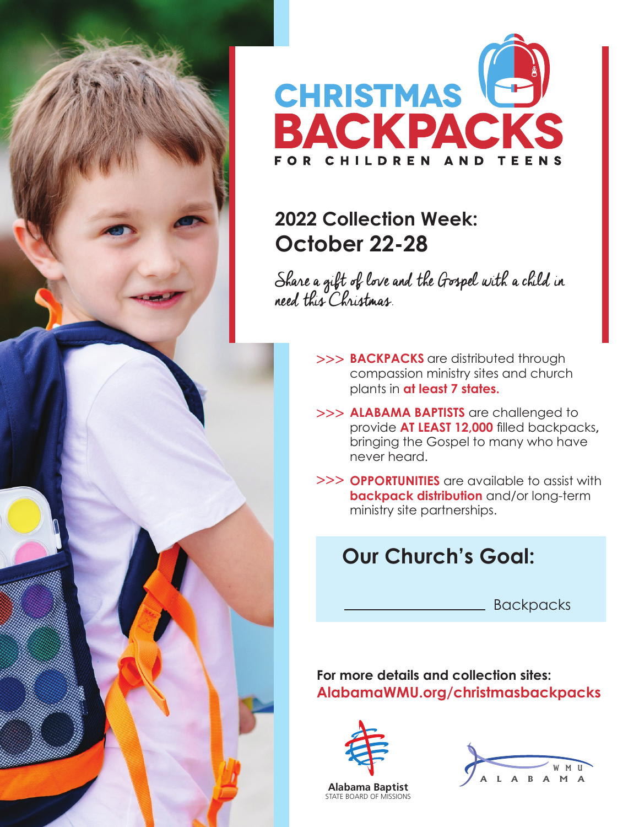

## **2022 Collection Week: October 22-28**

Share a gift of love and the Gospel with a child in need this Christmas.

- >>> **BACKPACKS** are distributed through compassion ministry sites and church plants in **at least 7 states.**
- >>> **ALABAMA BAPTISTS** are challenged to provide **AT LEAST 12,000** filled backpacks**,**  bringing the Gospel to many who have never heard.
- >>> OPPORTUNITIES are available to assist with **backpack distribution** and/or long-term ministry site partnerships.

## **Our Church's Goal:**

Backpacks

**For more details and collection sites: AlabamaWMU.org/christmasbackpacks**